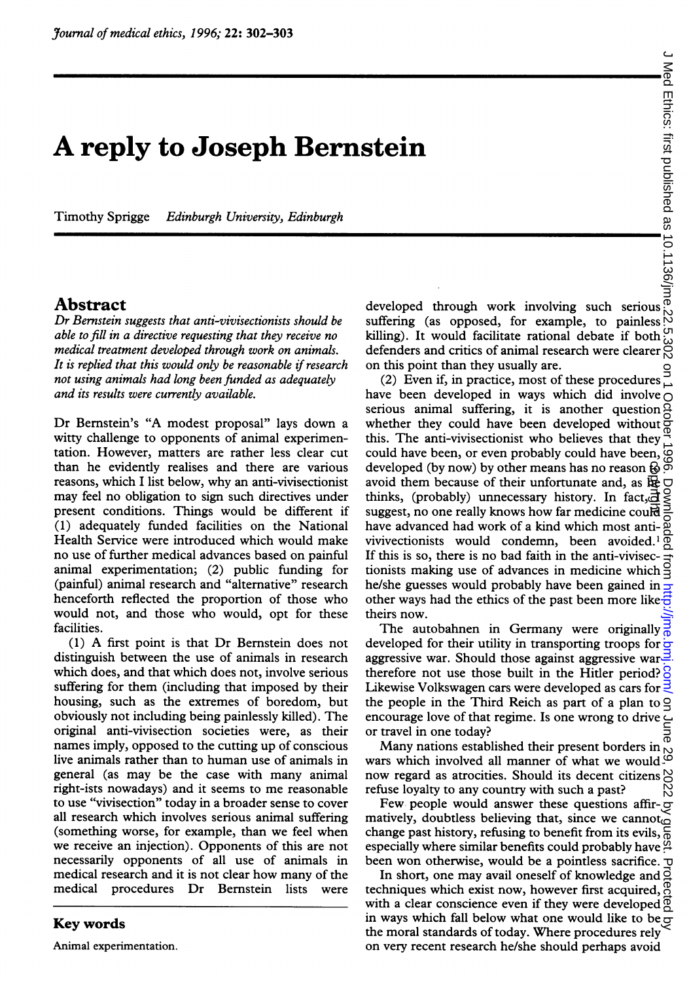## A reply to Joseph Bernstein

Timothy Sprigge Edinburgh University, Edinburgh

## Abstract

Dr Bernstein suggests that anti-vivisectionists should be able to fill in a directive requesting that they receive no medical treatment developed through work on animals. It is replied that this would only be reasonable if research not using animals had long been funded as adequately and its results were currently available.

Dr Bernstein's "A modest proposal" lays down <sup>a</sup> witty challenge to opponents of animal experimentation. However, matters are rather less clear cut than he evidently realises and there are various reasons, which <sup>I</sup> list below, why an anti-vivisectionist may feel no obligation to sign such directives under present conditions. Things would be different if (1) adequately funded facilities on the National Health Service were introduced which would make no use of further medical advances based on painful animal experimentation; (2) public funding for (painful) animal research and "alternative" research henceforth reflected the proportion of those who would not, and those who would, opt for these facilities.

(1) A first point is that Dr Bernstein does not distinguish between the use of animals in research which does, and that which does not, involve serious suffering for them (including that imposed by their housing, such as the extremes of boredom, but obviously not including being painlessly killed). The original anti-vivisection societies were, as their names imply, opposed to the cutting up of conscious live animals rather than to human use of animals in general (as may be the case with many animal right-ists nowadays) and it seems to me reasonable to use "vivisection" today in a broader sense to cover all research which involves serious animal suffering (something worse, for example, than we feel when we receive an injection). Opponents of this are not necessarily opponents of all use of animals in medical research and it is not clear how many of the medical procedures Dr Bernstein lists were

## Key words

Animal experimentation.

**Stein**<br>developed through work involving such serious  $\frac{1}{2}$ <br>developed through work involving such serious  $\frac{1}{2}$ <br>suffering (as opposed for example to painless) suffering (as opposed, for example, to painless killing). It would facilitate rational debate if both defenders and critics of animal research were clearer  $\frac{0}{00}$ on this point than they usually are.

(2) Even if, in practice, most of these procedures have been developed in ways which did involve  $\bigcirc$ serious animal suffering, it is another question whether they could have been developed without this. The anti-vivisectionist who believes that they could have been, or even probably could have been,  $\mathcal{Q}$ developed (by now) by other means has no reason  $\mathcal{R}$   $\delta$ avoid them because of their unfortunate and, as  $\log$ thinks, (probably) unnecessary history. In fact,  $\overline{d}$ suggest, no one really knows how far medicine could have advanced had work of a kind which most antivivivectionists would condemn, been avoided.' If this is so, there is no bad faith in the anti-vivisectionists making use of advances in medicine which he/she guesses would probably have been gained in other ways had the ethics of the past been more like  $\overline{\overline{6}}$ theirs now. developed (by now) by other means has no reason 68<br>avoid them because of their unfortunate and, as figure<br>thinks, (probably) unnecessary history. In fact, all<br>suggest, no one really knows how far medicine could<br>have advanc

The autobahnen in Germany were originally  $\frac{3}{6}$ developed for their utility in transporting troops for  $\frac{1}{x}$ aggressive war. Should those against aggressive war therefore not use those built in the Hitler period?  $\frac{8}{9}$ Likewise Volkswagen cars were developed as cars for  $\frac{1}{2}$ the people in the Third Reich as part of a plan to encourage love of that regime. Is one wrong to drive or travel in one today?

Many nations established their present borders in wars which involved all manner of what we would now regard as atrocities. Should its decent citizens refuse loyalty to any country with such a past?

Few people would answer these questions affir- $\circledcirc$ matively, doubtless believing that, since we cannot change past history, refusing to benefit from its evils,  $\frac{1}{6}$ especially where similar benefits could probably have  $\frac{3}{4}$ been won otherwise, would be a pointless sacrifice.  $\sigma$ 

In short, one may avail oneself of knowledge and techniques which exist now, however first acquired, with a clear conscience even if they were developed in ways which fall below what one would like to be  $\overline{S}$ the moral standards of today. Where procedures rely